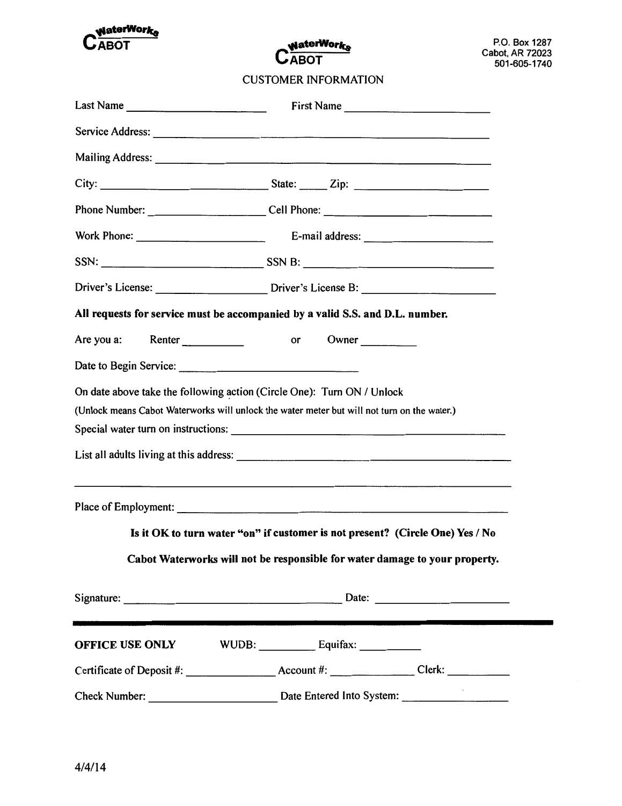

**WaterWorks CABOT** 

**CUSTOMER INFORMATION** 

| Last Name $\frac{1}{\sqrt{1-\frac{1}{2}}\sqrt{1-\frac{1}{2}}\sqrt{1-\frac{1}{2}}\sqrt{1-\frac{1}{2}}\sqrt{1-\frac{1}{2}}\sqrt{1-\frac{1}{2}}\sqrt{1-\frac{1}{2}}\sqrt{1-\frac{1}{2}}\sqrt{1-\frac{1}{2}}\sqrt{1-\frac{1}{2}}\sqrt{1-\frac{1}{2}}\sqrt{1-\frac{1}{2}}\sqrt{1-\frac{1}{2}}\sqrt{1-\frac{1}{2}}\sqrt{1-\frac{1}{2}}\sqrt{1-\frac{1}{2}}\sqrt{1-\frac{1}{2}}\sqrt{1-\frac{1}{2}}\sqrt{1-\frac{$ | First Name                                                                        |
|-------------------------------------------------------------------------------------------------------------------------------------------------------------------------------------------------------------------------------------------------------------------------------------------------------------------------------------------------------------------------------------------------------------|-----------------------------------------------------------------------------------|
|                                                                                                                                                                                                                                                                                                                                                                                                             |                                                                                   |
|                                                                                                                                                                                                                                                                                                                                                                                                             |                                                                                   |
|                                                                                                                                                                                                                                                                                                                                                                                                             |                                                                                   |
|                                                                                                                                                                                                                                                                                                                                                                                                             | Phone Number: ______________________________Cell Phone: _________________________ |
|                                                                                                                                                                                                                                                                                                                                                                                                             |                                                                                   |
|                                                                                                                                                                                                                                                                                                                                                                                                             |                                                                                   |
|                                                                                                                                                                                                                                                                                                                                                                                                             |                                                                                   |
| All requests for service must be accompanied by a valid S.S. and D.L. number.                                                                                                                                                                                                                                                                                                                               |                                                                                   |
|                                                                                                                                                                                                                                                                                                                                                                                                             |                                                                                   |
|                                                                                                                                                                                                                                                                                                                                                                                                             |                                                                                   |
| On date above take the following action (Circle One): Turn ON / Unlock<br>(Unlock means Cabot Waterworks will unlock the water meter but will not turn on the water.)                                                                                                                                                                                                                                       |                                                                                   |
|                                                                                                                                                                                                                                                                                                                                                                                                             |                                                                                   |
| the contract of the contract of the contract of the contract of the contract of the contract of the contract of                                                                                                                                                                                                                                                                                             |                                                                                   |
| Is it OK to turn water "on" if customer is not present? (Circle One) Yes / No                                                                                                                                                                                                                                                                                                                               |                                                                                   |
|                                                                                                                                                                                                                                                                                                                                                                                                             | Cabot Waterworks will not be responsible for water damage to your property.       |
|                                                                                                                                                                                                                                                                                                                                                                                                             |                                                                                   |
|                                                                                                                                                                                                                                                                                                                                                                                                             |                                                                                   |
|                                                                                                                                                                                                                                                                                                                                                                                                             |                                                                                   |
|                                                                                                                                                                                                                                                                                                                                                                                                             |                                                                                   |
|                                                                                                                                                                                                                                                                                                                                                                                                             |                                                                                   |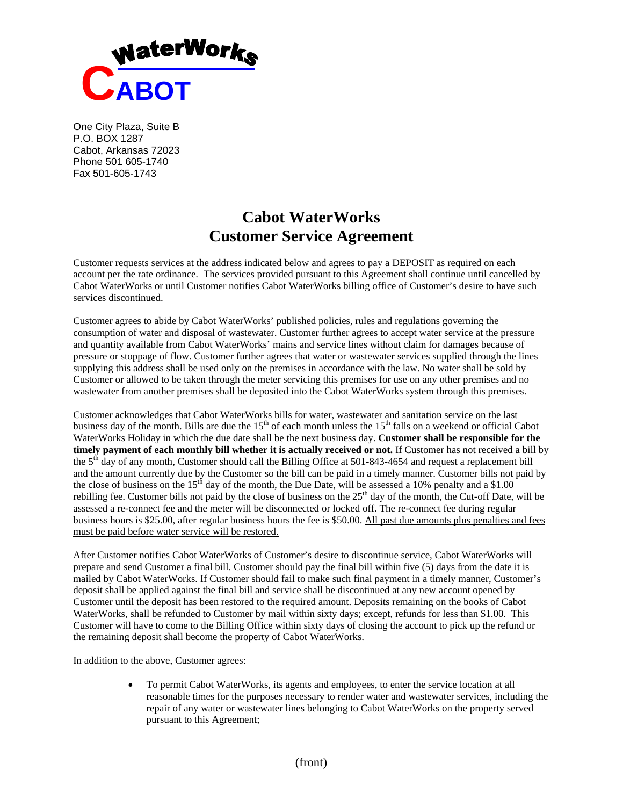

One City Plaza, Suite B P.O. BOX 1287 Cabot, Arkansas 72023 Phone 501 605-1740 Fax 501-605-1743

## **Cabot WaterWorks Customer Service Agreement**

Customer requests services at the address indicated below and agrees to pay a DEPOSIT as required on each account per the rate ordinance. The services provided pursuant to this Agreement shall continue until cancelled by Cabot WaterWorks or until Customer notifies Cabot WaterWorks billing office of Customer's desire to have such services discontinued.

Customer agrees to abide by Cabot WaterWorks' published policies, rules and regulations governing the consumption of water and disposal of wastewater. Customer further agrees to accept water service at the pressure and quantity available from Cabot WaterWorks' mains and service lines without claim for damages because of pressure or stoppage of flow. Customer further agrees that water or wastewater services supplied through the lines supplying this address shall be used only on the premises in accordance with the law. No water shall be sold by Customer or allowed to be taken through the meter servicing this premises for use on any other premises and no wastewater from another premises shall be deposited into the Cabot WaterWorks system through this premises.

Customer acknowledges that Cabot WaterWorks bills for water, wastewater and sanitation service on the last business day of the month. Bills are due the  $15<sup>th</sup>$  of each month unless the  $15<sup>th</sup>$  falls on a weekend or official Cabot WaterWorks Holiday in which the due date shall be the next business day. **Customer shall be responsible for the timely payment of each monthly bill whether it is actually received or not.** If Customer has not received a bill by the 5th day of any month, Customer should call the Billing Office at 501-843-4654 and request a replacement bill and the amount currently due by the Customer so the bill can be paid in a timely manner. Customer bills not paid by the close of business on the  $15<sup>th</sup>$  day of the month, the Due Date, will be assessed a 10% penalty and a \$1.00 rebilling fee. Customer bills not paid by the close of business on the  $25<sup>th</sup>$  day of the month, the Cut-off Date, will be assessed a re-connect fee and the meter will be disconnected or locked off. The re-connect fee during regular business hours is \$25.00, after regular business hours the fee is \$50.00. All past due amounts plus penalties and fees must be paid before water service will be restored.

After Customer notifies Cabot WaterWorks of Customer's desire to discontinue service, Cabot WaterWorks will prepare and send Customer a final bill. Customer should pay the final bill within five (5) days from the date it is mailed by Cabot WaterWorks. If Customer should fail to make such final payment in a timely manner, Customer's deposit shall be applied against the final bill and service shall be discontinued at any new account opened by Customer until the deposit has been restored to the required amount. Deposits remaining on the books of Cabot WaterWorks, shall be refunded to Customer by mail within sixty days; except, refunds for less than \$1.00. This Customer will have to come to the Billing Office within sixty days of closing the account to pick up the refund or the remaining deposit shall become the property of Cabot WaterWorks.

In addition to the above, Customer agrees:

 To permit Cabot WaterWorks, its agents and employees, to enter the service location at all reasonable times for the purposes necessary to render water and wastewater services, including the repair of any water or wastewater lines belonging to Cabot WaterWorks on the property served pursuant to this Agreement;